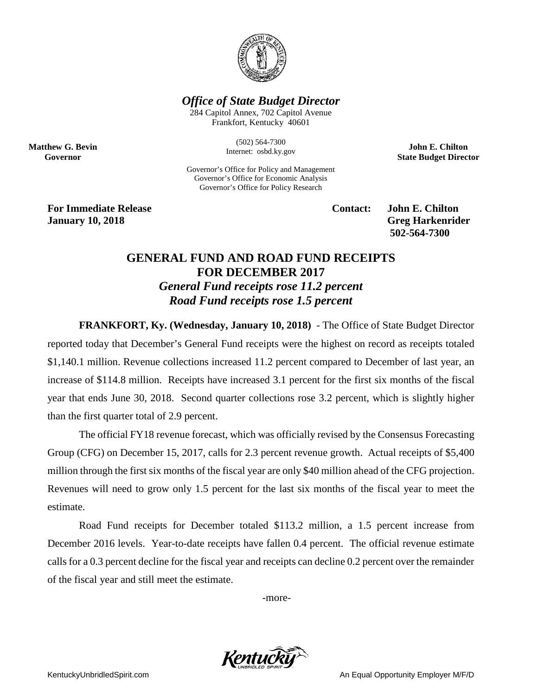

## *Office of State Budget Director*

284 Capitol Annex, 702 Capitol Avenue Frankfort, Kentucky 40601

> (502) 564-7300 Internet: osbd.ky.gov

Governor's Office for Policy and Management Governor's Office for Economic Analysis Governor's Office for Policy Research

**John E. Chilton State Budget Director**

**For Immediate Release Contact: John E. Chilton January 10, 2018 Greg Harkenrider**

**Matthew G. Bevin Governor**

**502-564-7300** 

## **GENERAL FUND AND ROAD FUND RECEIPTS FOR DECEMBER 2017** *General Fund receipts rose 11.2 percent Road Fund receipts rose 1.5 percent*

**FRANKFORT, Ky. (Wednesday, January 10, 2018)** - The Office of State Budget Director reported today that December's General Fund receipts were the highest on record as receipts totaled \$1,140.1 million. Revenue collections increased 11.2 percent compared to December of last year, an increase of \$114.8 million. Receipts have increased 3.1 percent for the first six months of the fiscal year that ends June 30, 2018. Second quarter collections rose 3.2 percent, which is slightly higher than the first quarter total of 2.9 percent.

The official FY18 revenue forecast, which was officially revised by the Consensus Forecasting Group (CFG) on December 15, 2017, calls for 2.3 percent revenue growth. Actual receipts of \$5,400 million through the first six months of the fiscal year are only \$40 million ahead of the CFG projection. Revenues will need to grow only 1.5 percent for the last six months of the fiscal year to meet the estimate.

Road Fund receipts for December totaled \$113.2 million, a 1.5 percent increase from December 2016 levels. Year-to-date receipts have fallen 0.4 percent. The official revenue estimate calls for a 0.3 percent decline for the fiscal year and receipts can decline 0.2 percent over the remainder of the fiscal year and still meet the estimate.

-more-



KentuckyUnbridledSpirit.com **An Equal Opportunity Employer M/F/D** An Equal Opportunity Employer M/F/D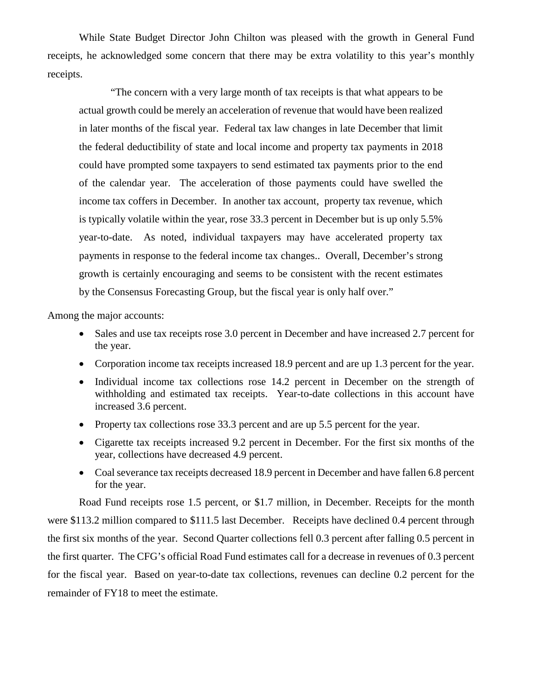While State Budget Director John Chilton was pleased with the growth in General Fund receipts, he acknowledged some concern that there may be extra volatility to this year's monthly receipts.

"The concern with a very large month of tax receipts is that what appears to be actual growth could be merely an acceleration of revenue that would have been realized in later months of the fiscal year. Federal tax law changes in late December that limit the federal deductibility of state and local income and property tax payments in 2018 could have prompted some taxpayers to send estimated tax payments prior to the end of the calendar year. The acceleration of those payments could have swelled the income tax coffers in December. In another tax account, property tax revenue, which is typically volatile within the year, rose 33.3 percent in December but is up only 5.5% year-to-date. As noted, individual taxpayers may have accelerated property tax payments in response to the federal income tax changes.. Overall, December's strong growth is certainly encouraging and seems to be consistent with the recent estimates by the Consensus Forecasting Group, but the fiscal year is only half over."

Among the major accounts:

- Sales and use tax receipts rose 3.0 percent in December and have increased 2.7 percent for the year.
- Corporation income tax receipts increased 18.9 percent and are up 1.3 percent for the year.
- Individual income tax collections rose 14.2 percent in December on the strength of withholding and estimated tax receipts. Year-to-date collections in this account have increased 3.6 percent.
- Property tax collections rose 33.3 percent and are up 5.5 percent for the year.
- Cigarette tax receipts increased 9.2 percent in December. For the first six months of the year, collections have decreased 4.9 percent.
- Coal severance tax receipts decreased 18.9 percent in December and have fallen 6.8 percent for the year.

Road Fund receipts rose 1.5 percent, or \$1.7 million, in December. Receipts for the month were \$113.2 million compared to \$111.5 last December. Receipts have declined 0.4 percent through the first six months of the year. Second Quarter collections fell 0.3 percent after falling 0.5 percent in the first quarter. The CFG's official Road Fund estimates call for a decrease in revenues of 0.3 percent for the fiscal year. Based on year-to-date tax collections, revenues can decline 0.2 percent for the remainder of FY18 to meet the estimate.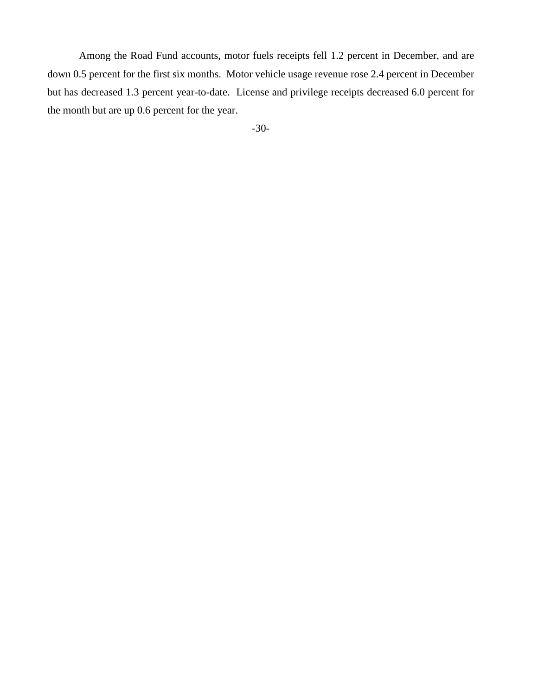Among the Road Fund accounts, motor fuels receipts fell 1.2 percent in December, and are down 0.5 percent for the first six months. Motor vehicle usage revenue rose 2.4 percent in December but has decreased 1.3 percent year-to-date. License and privilege receipts decreased 6.0 percent for the month but are up 0.6 percent for the year.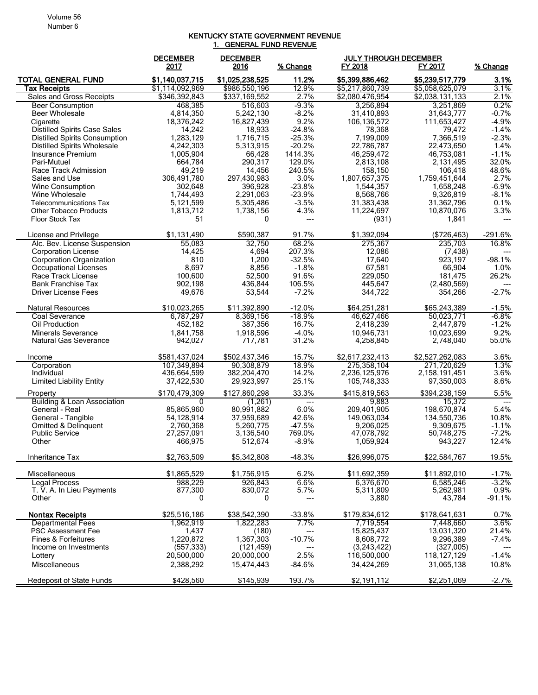## KENTUCKY STATE GOVERNMENT REVENUE 1. GENERAL FUND REVENUE

|                                            | <b>DECEMBER</b><br>2017 | <b>DECEMBER</b><br>2016 | % Change       | <b>JULY THROUGH DECEMBER</b><br>FY 2018 | FY 2017                    | % Change               |
|--------------------------------------------|-------------------------|-------------------------|----------------|-----------------------------------------|----------------------------|------------------------|
| <b>TOTAL GENERAL FUND</b>                  | \$1,140,037,715         | \$1,025,238,525         | 11.2%          | \$5,399,886,462                         | \$5,239,517,779            | 3.1%                   |
| <b>Tax Receipts</b>                        | \$1,114,092,969         | \$986,550,196           | 12.9%          | \$5,217,860,739                         | \$5,058,625,079            | 3.1%                   |
| <b>Sales and Gross Receipts</b>            | \$346,392,843           | \$337,169,552           | 2.7%           | \$2,080,476,954                         | \$2,038,131,133            | 2.1%                   |
| <b>Beer Consumption</b>                    | 468,385                 | 516.603                 | $-9.3%$        | 3,256,894                               | 3,251,869                  | 0.2%                   |
| Beer Wholesale                             | 4,814,350               | 5,242,130               | $-8.2%$        | 31,410,893                              | 31.643.777                 | $-0.7%$                |
| Cigarette                                  | 18,376,242              | 16,827,439              | 9.2%           | 106,136,572                             | 111,653,427                | $-4.9%$                |
| <b>Distilled Spirits Case Sales</b>        | 14,242                  | 18,933                  | $-24.8%$       | 78,368                                  | 79,472                     | $-1.4%$                |
| <b>Distilled Spirits Consumption</b>       | 1,283,129               | 1,716,715               | $-25.3%$       | 7,199,009                               | 7,366,519                  | $-2.3%$                |
| <b>Distilled Spirits Wholesale</b>         | 4,242,303               | 5,313,915               | $-20.2%$       | 22,786,787                              | 22,473,650                 | 1.4%                   |
| Insurance Premium                          | 1,005,904               | 66,428                  | 1414.3%        | 46,259,472                              | 46,753,081                 | $-1.1%$                |
| Pari-Mutuel                                | 664,784                 | 290,317                 | 129.0%         | 2,813,108                               | 2,131,495                  | 32.0%                  |
| Race Track Admission<br>Sales and Use      | 49,219                  | 14,456                  | 240.5%<br>3.0% | 158,150<br>1,807,657,375                | 106,418                    | 48.6%<br>2.7%          |
| Wine Consumption                           | 306,491,780<br>302,648  | 297,430,983<br>396,928  | $-23.8%$       | 1,544,357                               | 1,759,451,644<br>1,658,248 | $-6.9%$                |
| Wine Wholesale                             | 1,744,493               | 2,291,063               | $-23.9%$       | 8,568,766                               | 9,326,819                  | $-8.1%$                |
| <b>Telecommunications Tax</b>              | 5,121,599               | 5,305,486               | $-3.5%$        | 31,383,438                              | 31,362,796                 | 0.1%                   |
| <b>Other Tobacco Products</b>              | 1,813,712               | 1,738,156               | 4.3%           | 11,224,697                              | 10,870,076                 | 3.3%                   |
| <b>Floor Stock Tax</b>                     | 51                      | 0                       | ---            | (931)                                   | 1,841                      | ---                    |
|                                            |                         |                         |                |                                         |                            |                        |
| License and Privilege                      | \$1.131.490             | \$590.387               | 91.7%          | \$1,392,094                             | ( \$726, 463)              | $-291.6%$              |
| Alc. Bev. License Suspension               | 55,083                  | 32,750                  | 68.2%          | 275,367                                 | 235,703                    | 16.8%                  |
| <b>Corporation License</b>                 | 14,425                  | 4,694                   | 207.3%         | 12,086                                  | (7, 438)                   |                        |
| Corporation Organization                   | 810                     | 1,200                   | $-32.5%$       | 17.640                                  | 923.197                    | $-98.1%$               |
| Occupational Licenses                      | 8,697                   | 8,856                   | $-1.8%$        | 67,581                                  | 66,904                     | 1.0%                   |
| Race Track License                         | 100,600                 | 52,500                  | 91.6%          | 229,050                                 | 181,475                    | 26.2%                  |
| <b>Bank Franchise Tax</b>                  | 902,198                 | 436,844                 | 106.5%         | 445.647                                 | (2,480,569)                | $---$                  |
| Driver License Fees                        | 49,676                  | 53,544                  | $-7.2%$        | 344,722                                 | 354,266                    | $-2.7%$                |
| <b>Natural Resources</b>                   | \$10,023,265            | \$11,392,890            | $-12.0%$       | \$64,251,281                            | \$65,243,389               | $-1.5%$                |
| Coal Severance                             | 6,787,297               | 8,369,156               | -18.9%         | 46,627,466                              | 50,023,771                 | -6.8%                  |
| Oil Production                             | 452,182                 | 387,356                 | 16.7%          | 2,418,239                               | 2,447,879                  | $-1.2%$                |
| Minerals Severance                         | 1,841,758               | 1,918,596               | $-4.0%$        | 10,946,731                              | 10,023,699                 | 9.2%                   |
| Natural Gas Severance                      | 942,027                 | 717,781                 | 31.2%          | 4,258,845                               | 2,748,040                  | 55.0%                  |
| Income                                     | \$581,437,024           | \$502,437,346           | 15.7%          | \$2,617,232,413                         | \$2,527,262,083            | 3.6%                   |
| Corporation                                | 107.349.894             | 90.308.879              | 18.9%          | 275,358,104                             | 271.720.629                | 1.3%                   |
| Individual                                 | 436,664,599             | 382,204,470             | 14.2%          | 2,236,125,976                           | 2,158,191,451              | 3.6%                   |
| <b>Limited Liability Entity</b>            | 37,422,530              | 29,923,997              | 25.1%          | 105,748,333                             | 97,350,003                 | 8.6%                   |
| Property<br>Building & Loan Association    | \$170.479.309<br>0      | \$127,860,298           | 33.3%          | \$415,819,563                           | \$394,238,159              | 5.5%                   |
| General - Real                             | 85,865,960              | (1,261)<br>80.991.882   | ---<br>6.0%    | 9,883<br>209,401,905                    | 15,372<br>198,670,874      | $\overline{a}$<br>5.4% |
| General - Tangible                         | 54,128,914              | 37,959,689              | 42.6%          | 149,063,034                             | 134,550,736                | 10.8%                  |
| Omitted & Delinquent                       | 2.760.368               | 5,260,775               | $-47.5%$       | 9.206.025                               | 9,309,675                  | $-1.1%$                |
| <b>Public Service</b>                      | 27,257,091              | 3,136,540               | 769.0%         | 47,078,792                              | 50,748,275                 | $-7.2%$                |
| Other                                      | 466,975                 | 512,674                 | $-8.9%$        | 1,059,924                               | 943,227                    | 12.4%                  |
| Inheritance Tax                            | \$2,763,509             | \$5,342,808             | $-48.3%$       | \$26,996,075                            | \$22,584,767               | 19.5%                  |
|                                            |                         |                         |                |                                         |                            |                        |
| Miscellaneous                              | \$1,865,529             | \$1,756,915             | 6.2%           | \$11,692,359                            | \$11,892,010               | $-1.7%$                |
| Legal Process<br>T. V. A. In Lieu Payments | 988,229                 | 926,843                 | 6.6%           | 6,376,670                               | 6,585,246                  | $-3.2%$                |
| Other                                      | 877,300<br>0            | 830,072<br>0            | 5.7%           | 5,311,809<br>3,880                      | 5,262,981<br>43,784        | 0.9%<br>$-91.1%$       |
|                                            |                         |                         | ---            |                                         |                            |                        |
| <b>Nontax Receipts</b>                     | \$25,516,186            | \$38,542,390            | $-33.8%$       | \$179,834,612                           | \$178,641,631              | 0.7%                   |
| <b>Departmental Fees</b>                   | 1,962,919               | 1,822,283               | 7.7%           | 7,719,554                               | 7,448,660                  | $3.6\%$                |
| <b>PSC Assessment Fee</b>                  | 1,437                   | (180)                   | ---            | 15,825,437                              | 13,031,320                 | 21.4%                  |
| Fines & Forfeitures                        | 1,220,872               | 1,367,303               | $-10.7%$       | 8,608,772                               | 9,296,389                  | $-7.4%$                |
| Income on Investments                      | (557, 333)              | (121, 459)              |                | (3,243,422)                             | (327,005)                  |                        |
| Lottery                                    | 20,500,000              | 20,000,000              | 2.5%           | 116,500,000                             | 118, 127, 129              | $-1.4%$                |
| <b>Miscellaneous</b>                       | 2,388,292               | 15,474,443              | $-84.6%$       | 34,424,269                              | 31,065,138                 | 10.8%                  |
| Redeposit of State Funds                   | \$428,560               | \$145,939               | 193.7%         | \$2,191,112                             | \$2,251,069                | $-2.7%$                |